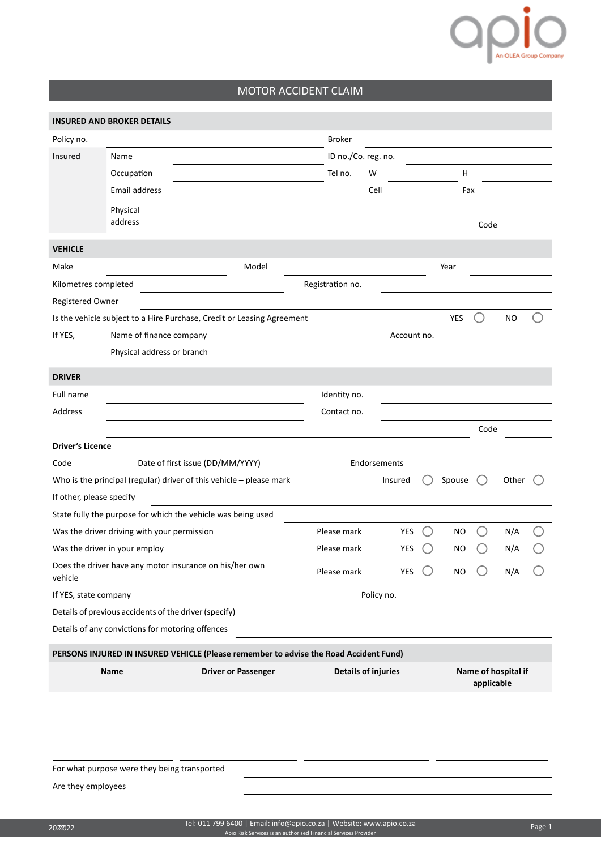

## MOTOR ACCIDENT CLAIM

|                          | <b>INSURED AND BROKER DETAILS</b>                                     |                                  |                                                                                       |                            |              |             |  |            |      |                     |  |
|--------------------------|-----------------------------------------------------------------------|----------------------------------|---------------------------------------------------------------------------------------|----------------------------|--------------|-------------|--|------------|------|---------------------|--|
| Policy no.               |                                                                       |                                  |                                                                                       | <b>Broker</b>              |              |             |  |            |      |                     |  |
| Insured                  | Name                                                                  |                                  |                                                                                       | ID no./Co. reg. no.        |              |             |  |            |      |                     |  |
|                          | Occupation                                                            |                                  |                                                                                       | Tel no.                    | W            |             |  | Н          |      |                     |  |
|                          | Email address                                                         |                                  |                                                                                       |                            | Cell         |             |  | Fax        |      |                     |  |
|                          | Physical                                                              |                                  |                                                                                       |                            |              |             |  |            |      |                     |  |
|                          | address                                                               |                                  |                                                                                       |                            |              |             |  |            | Code |                     |  |
| <b>VEHICLE</b>           |                                                                       |                                  |                                                                                       |                            |              |             |  |            |      |                     |  |
| Make                     |                                                                       |                                  | Model                                                                                 |                            |              |             |  | Year       |      |                     |  |
| Kilometres completed     |                                                                       |                                  |                                                                                       | Registration no.           |              |             |  |            |      |                     |  |
| Registered Owner         |                                                                       |                                  |                                                                                       |                            |              |             |  |            |      |                     |  |
|                          |                                                                       |                                  | Is the vehicle subject to a Hire Purchase, Credit or Leasing Agreement                |                            |              |             |  | <b>YES</b> |      | <b>NO</b>           |  |
| If YES,                  | Name of finance company                                               |                                  |                                                                                       |                            |              | Account no. |  |            |      |                     |  |
|                          | Physical address or branch                                            |                                  |                                                                                       |                            |              |             |  |            |      |                     |  |
| <b>DRIVER</b>            |                                                                       |                                  |                                                                                       |                            |              |             |  |            |      |                     |  |
| Full name                |                                                                       |                                  |                                                                                       | Identity no.               |              |             |  |            |      |                     |  |
| Address                  |                                                                       |                                  |                                                                                       | Contact no.                |              |             |  |            |      |                     |  |
|                          |                                                                       |                                  |                                                                                       |                            |              |             |  |            | Code |                     |  |
| <b>Driver's Licence</b>  |                                                                       |                                  |                                                                                       |                            |              |             |  |            |      |                     |  |
| Code                     |                                                                       | Date of first issue (DD/MM/YYYY) |                                                                                       |                            | Endorsements |             |  |            |      |                     |  |
|                          | Who is the principal (regular) driver of this vehicle $-$ please mark |                                  |                                                                                       |                            |              | Insured     |  | Spouse     |      | Other               |  |
| If other, please specify |                                                                       |                                  |                                                                                       |                            |              |             |  |            |      |                     |  |
|                          | State fully the purpose for which the vehicle was being used          |                                  |                                                                                       |                            |              |             |  |            |      |                     |  |
|                          | Was the driver driving with your permission                           |                                  |                                                                                       | Please mark                |              | YES         |  | <b>NO</b>  |      | N/A                 |  |
|                          | Was the driver in your employ                                         |                                  |                                                                                       | Please mark                |              | YES         |  | NO         |      | N/A                 |  |
| vehicle                  | Does the driver have any motor insurance on his/her own               |                                  |                                                                                       | Please mark                |              | YES         |  | NO         |      | N/A                 |  |
| If YES, state company    |                                                                       |                                  |                                                                                       |                            | Policy no.   |             |  |            |      |                     |  |
|                          | Details of previous accidents of the driver (specify)                 |                                  |                                                                                       |                            |              |             |  |            |      |                     |  |
|                          | Details of any convictions for motoring offences                      |                                  |                                                                                       |                            |              |             |  |            |      |                     |  |
|                          |                                                                       |                                  | PERSONS INJURED IN INSURED VEHICLE (Please remember to advise the Road Accident Fund) |                            |              |             |  |            |      |                     |  |
|                          | Name                                                                  |                                  | <b>Driver or Passenger</b>                                                            | <b>Details of injuries</b> |              |             |  |            |      | Name of hospital if |  |
|                          |                                                                       |                                  |                                                                                       |                            |              | applicable  |  |            |      |                     |  |
|                          |                                                                       |                                  |                                                                                       |                            |              |             |  |            |      |                     |  |
|                          |                                                                       |                                  |                                                                                       |                            |              |             |  |            |      |                     |  |
|                          |                                                                       |                                  |                                                                                       |                            |              |             |  |            |      |                     |  |
|                          |                                                                       |                                  |                                                                                       |                            |              |             |  |            |      |                     |  |
|                          | For what purpose were they being transported                          |                                  |                                                                                       |                            |              |             |  |            |      |                     |  |
| Are they employees       |                                                                       |                                  |                                                                                       |                            |              |             |  |            |      |                     |  |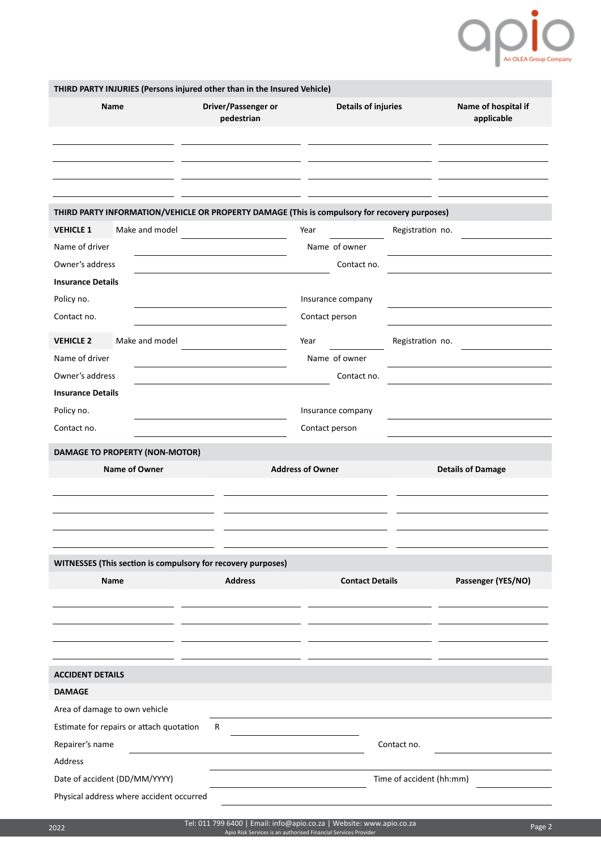

| THIRD PARTY INJURIES (Persons injured other than in the Insured Vehicle)                      |                                   |                            |                          |                                   |  |  |
|-----------------------------------------------------------------------------------------------|-----------------------------------|----------------------------|--------------------------|-----------------------------------|--|--|
| Name                                                                                          | Driver/Passenger or<br>pedestrian | <b>Details of injuries</b> |                          | Name of hospital if<br>applicable |  |  |
|                                                                                               |                                   |                            |                          |                                   |  |  |
|                                                                                               |                                   |                            |                          |                                   |  |  |
|                                                                                               |                                   |                            |                          |                                   |  |  |
| THIRD PARTY INFORMATION/VEHICLE OR PROPERTY DAMAGE (This is compulsory for recovery purposes) |                                   |                            |                          |                                   |  |  |
| Make and model<br><b>VEHICLE 1</b>                                                            |                                   | Year                       | Registration no.         |                                   |  |  |
| Name of driver                                                                                |                                   | Name of owner              |                          |                                   |  |  |
| Owner's address                                                                               |                                   | Contact no.                |                          |                                   |  |  |
| <b>Insurance Details</b>                                                                      |                                   |                            |                          |                                   |  |  |
| Policy no.                                                                                    |                                   | Insurance company          |                          |                                   |  |  |
| Contact no.                                                                                   |                                   | Contact person             |                          |                                   |  |  |
| Make and model<br><b>VEHICLE 2</b>                                                            |                                   | Year                       | Registration no.         |                                   |  |  |
| Name of driver                                                                                |                                   | Name of owner              |                          |                                   |  |  |
| Owner's address                                                                               |                                   | Contact no.                |                          |                                   |  |  |
| <b>Insurance Details</b>                                                                      |                                   |                            |                          |                                   |  |  |
| Policy no.                                                                                    |                                   | Insurance company          |                          |                                   |  |  |
| Contact no.                                                                                   |                                   | Contact person             |                          |                                   |  |  |
| <b>DAMAGE TO PROPERTY (NON-MOTOR)</b>                                                         |                                   |                            |                          |                                   |  |  |
| Name of Owner                                                                                 |                                   | <b>Address of Owner</b>    |                          | <b>Details of Damage</b>          |  |  |
|                                                                                               |                                   |                            |                          |                                   |  |  |
|                                                                                               |                                   |                            |                          |                                   |  |  |
|                                                                                               |                                   |                            |                          |                                   |  |  |
|                                                                                               |                                   |                            |                          |                                   |  |  |
| WITNESSES (This section is compulsory for recovery purposes)                                  |                                   |                            |                          |                                   |  |  |
| Name                                                                                          | <b>Address</b>                    | <b>Contact Details</b>     |                          | Passenger (YES/NO)                |  |  |
|                                                                                               |                                   |                            |                          |                                   |  |  |
|                                                                                               |                                   |                            |                          |                                   |  |  |
|                                                                                               |                                   |                            |                          |                                   |  |  |
|                                                                                               |                                   |                            |                          |                                   |  |  |
| <b>ACCIDENT DETAILS</b>                                                                       |                                   |                            |                          |                                   |  |  |
| <b>DAMAGE</b>                                                                                 |                                   |                            |                          |                                   |  |  |
| Area of damage to own vehicle                                                                 |                                   |                            |                          |                                   |  |  |
| Estimate for repairs or attach quotation                                                      | R                                 |                            |                          |                                   |  |  |
| Repairer's name                                                                               |                                   |                            | Contact no.              |                                   |  |  |
| Address                                                                                       |                                   |                            |                          |                                   |  |  |
| Date of accident (DD/MM/YYYY)                                                                 |                                   |                            | Time of accident (hh:mm) |                                   |  |  |
| Physical address where accident occurred                                                      |                                   |                            |                          |                                   |  |  |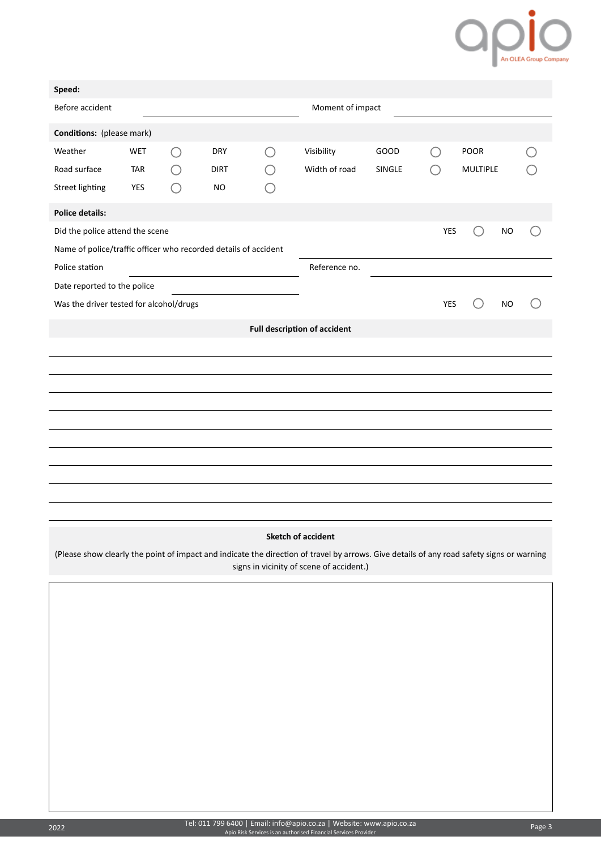## Opio

| Speed:                                                          |            |         |             |                  |                                     |        |            |                 |           |  |
|-----------------------------------------------------------------|------------|---------|-------------|------------------|-------------------------------------|--------|------------|-----------------|-----------|--|
| Before accident                                                 |            |         |             | Moment of impact |                                     |        |            |                 |           |  |
| <b>Conditions:</b> (please mark)                                |            |         |             |                  |                                     |        |            |                 |           |  |
| Weather                                                         | <b>WET</b> | $( \ )$ | <b>DRY</b>  |                  | Visibility                          | GOOD   |            | POOR            |           |  |
| Road surface                                                    | <b>TAR</b> |         | <b>DIRT</b> |                  | Width of road                       | SINGLE |            | <b>MULTIPLE</b> |           |  |
| <b>Street lighting</b>                                          | YES        |         | <b>NO</b>   |                  |                                     |        |            |                 |           |  |
| <b>Police details:</b>                                          |            |         |             |                  |                                     |        |            |                 |           |  |
| Did the police attend the scene                                 |            |         |             |                  |                                     |        | YES        |                 | <b>NO</b> |  |
| Name of police/traffic officer who recorded details of accident |            |         |             |                  |                                     |        |            |                 |           |  |
| Police station<br>Reference no.                                 |            |         |             |                  |                                     |        |            |                 |           |  |
| Date reported to the police                                     |            |         |             |                  |                                     |        |            |                 |           |  |
| Was the driver tested for alcohol/drugs                         |            |         |             |                  |                                     |        | <b>YES</b> |                 | <b>NO</b> |  |
|                                                                 |            |         |             |                  | <b>Full description of accident</b> |        |            |                 |           |  |
|                                                                 |            |         |             |                  |                                     |        |            |                 |           |  |
|                                                                 |            |         |             |                  |                                     |        |            |                 |           |  |
|                                                                 |            |         |             |                  |                                     |        |            |                 |           |  |
|                                                                 |            |         |             |                  |                                     |        |            |                 |           |  |
|                                                                 |            |         |             |                  |                                     |        |            |                 |           |  |
|                                                                 |            |         |             |                  |                                     |        |            |                 |           |  |
|                                                                 |            |         |             |                  |                                     |        |            |                 |           |  |
|                                                                 |            |         |             |                  |                                     |        |            |                 |           |  |
|                                                                 |            |         |             |                  |                                     |        |            |                 |           |  |
|                                                                 |            |         |             |                  |                                     |        |            |                 |           |  |

## **Sketch of accident**

(Please show clearly the point of impact and indicate the direction of travel by arrows. Give details of any road safety signs or warning signs in vicinity of scene of accident.)